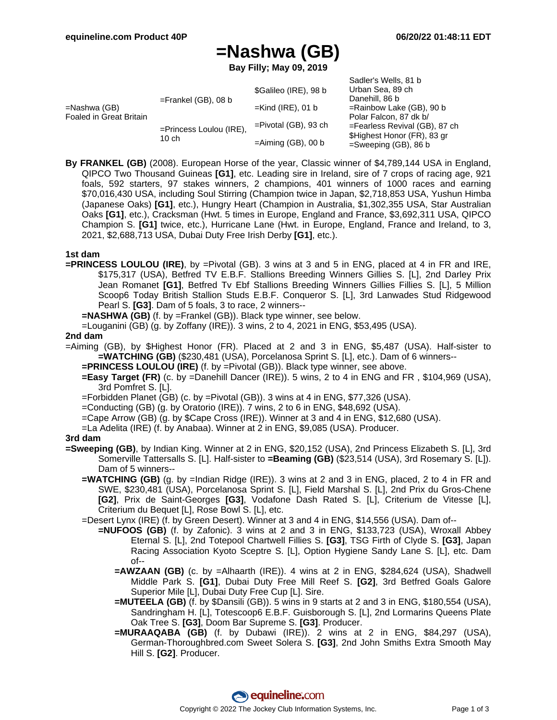Sadler's Wells, 81 b

# **=Nashwa (GB)**

**Bay Filly; May 09, 2019**

|                                         |                                     |                         | <b>J</b> Jaulel S Wells, O L D   |
|-----------------------------------------|-------------------------------------|-------------------------|----------------------------------|
| =Nashwa (GB)<br>Foaled in Great Britain | $=$ Frankel (GB), 08 b              | \$Galileo (IRE), 98 b   | Urban Sea, 89 ch                 |
|                                         |                                     |                         | Danehill, 86 b                   |
|                                         |                                     | $=$ Kind (IRE), 01 b    | $=$ Rainbow Lake (GB), 90 b      |
|                                         | $=$ Princess Loulou (IRE),<br>10 ch | $=$ Pivotal (GB), 93 ch | Polar Falcon, 87 dk b/           |
|                                         |                                     |                         | $=$ Fearless Revival (GB), 87 ch |
|                                         |                                     | $=$ Aiming (GB), 00 b   | \$Highest Honor (FR), 83 gr      |
|                                         |                                     |                         | $=$ Sweeping (GB), 86 b          |

**By FRANKEL (GB)** (2008). European Horse of the year, Classic winner of \$4,789,144 USA in England, QIPCO Two Thousand Guineas **[G1]**, etc. Leading sire in Ireland, sire of 7 crops of racing age, 921 foals, 592 starters, 97 stakes winners, 2 champions, 401 winners of 1000 races and earning \$70,016,430 USA, including Soul Stirring (Champion twice in Japan, \$2,718,853 USA, Yushun Himba (Japanese Oaks) **[G1]**, etc.), Hungry Heart (Champion in Australia, \$1,302,355 USA, Star Australian Oaks **[G1]**, etc.), Cracksman (Hwt. 5 times in Europe, England and France, \$3,692,311 USA, QIPCO Champion S. **[G1]** twice, etc.), Hurricane Lane (Hwt. in Europe, England, France and Ireland, to 3, 2021, \$2,688,713 USA, Dubai Duty Free Irish Derby **[G1]**, etc.).

#### **1st dam**

**=PRINCESS LOULOU (IRE)**, by =Pivotal (GB). 3 wins at 3 and 5 in ENG, placed at 4 in FR and IRE, \$175,317 (USA), Betfred TV E.B.F. Stallions Breeding Winners Gillies S. [L], 2nd Darley Prix Jean Romanet **[G1]**, Betfred Tv Ebf Stallions Breeding Winners Gillies Fillies S. [L], 5 Million Scoop6 Today British Stallion Studs E.B.F. Conqueror S. [L], 3rd Lanwades Stud Ridgewood Pearl S. **[G3]**. Dam of 5 foals, 3 to race, 2 winners--

**=NASHWA (GB)** (f. by =Frankel (GB)). Black type winner, see below.

=Louganini (GB) (g. by Zoffany (IRE)). 3 wins, 2 to 4, 2021 in ENG, \$53,495 (USA).

#### **2nd dam**

=Aiming (GB), by \$Highest Honor (FR). Placed at 2 and 3 in ENG, \$5,487 (USA). Half-sister to **=WATCHING (GB)** (\$230,481 (USA), Porcelanosa Sprint S. [L], etc.). Dam of 6 winners--

**=PRINCESS LOULOU (IRE)** (f. by =Pivotal (GB)). Black type winner, see above.

**=Easy Target (FR)** (c. by =Danehill Dancer (IRE)). 5 wins, 2 to 4 in ENG and FR , \$104,969 (USA), 3rd Pomfret S. [L].

=Forbidden Planet (GB) (c. by =Pivotal (GB)). 3 wins at 4 in ENG, \$77,326 (USA).

=Conducting (GB) (g. by Oratorio (IRE)). 7 wins, 2 to 6 in ENG, \$48,692 (USA).

- =Cape Arrow (GB) (g. by \$Cape Cross (IRE)). Winner at 3 and 4 in ENG, \$12,680 (USA).
- =La Adelita (IRE) (f. by Anabaa). Winner at 2 in ENG, \$9,085 (USA). Producer.

#### **3rd dam**

- **=Sweeping (GB)**, by Indian King. Winner at 2 in ENG, \$20,152 (USA), 2nd Princess Elizabeth S. [L], 3rd Somerville Tattersalls S. [L]. Half-sister to **=Beaming (GB)** (\$23,514 (USA), 3rd Rosemary S. [L]). Dam of 5 winners--
	- **=WATCHING (GB)** (g. by =Indian Ridge (IRE)). 3 wins at 2 and 3 in ENG, placed, 2 to 4 in FR and SWE, \$230,481 (USA), Porcelanosa Sprint S. [L], Field Marshal S. [L], 2nd Prix du Gros-Chene **[G2]**, Prix de Saint-Georges **[G3]**, Vodafone Dash Rated S. [L], Criterium de Vitesse [L], Criterium du Bequet [L], Rose Bowl S. [L], etc.

=Desert Lynx (IRE) (f. by Green Desert). Winner at 3 and 4 in ENG, \$14,556 (USA). Dam of--

- **=NUFOOS (GB)** (f. by Zafonic). 3 wins at 2 and 3 in ENG, \$133,723 (USA), Wroxall Abbey Eternal S. [L], 2nd Totepool Chartwell Fillies S. **[G3]**, TSG Firth of Clyde S. **[G3]**, Japan Racing Association Kyoto Sceptre S. [L], Option Hygiene Sandy Lane S. [L], etc. Dam of--
	- **=AWZAAN (GB)** (c. by =Alhaarth (IRE)). 4 wins at 2 in ENG, \$284,624 (USA), Shadwell Middle Park S. **[G1]**, Dubai Duty Free Mill Reef S. **[G2]**, 3rd Betfred Goals Galore Superior Mile [L], Dubai Duty Free Cup [L]. Sire.
	- **=MUTEELA (GB)** (f. by \$Dansili (GB)). 5 wins in 9 starts at 2 and 3 in ENG, \$180,554 (USA), Sandringham H. [L], Totescoop6 E.B.F. Guisborough S. [L], 2nd Lormarins Queens Plate Oak Tree S. **[G3]**, Doom Bar Supreme S. **[G3]**. Producer.
	- **=MURAAQABA (GB)** (f. by Dubawi (IRE)). 2 wins at 2 in ENG, \$84,297 (USA), German-Thoroughbred.com Sweet Solera S. **[G3]**, 2nd John Smiths Extra Smooth May Hill S. **[G2]**. Producer.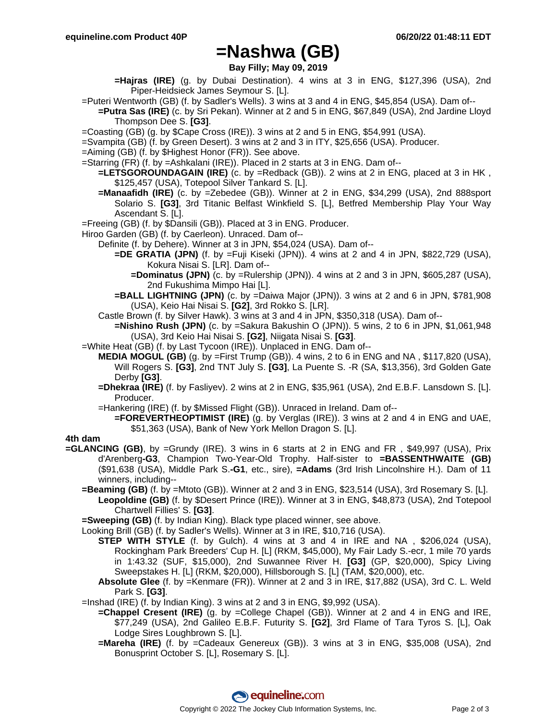### **=Nashwa (GB)**

**Bay Filly; May 09, 2019**

- **=Hajras (IRE)** (g. by Dubai Destination). 4 wins at 3 in ENG, \$127,396 (USA), 2nd Piper-Heidsieck James Seymour S. [L].
- =Puteri Wentworth (GB) (f. by Sadler's Wells). 3 wins at 3 and 4 in ENG, \$45,854 (USA). Dam of--
- **=Putra Sas (IRE)** (c. by Sri Pekan). Winner at 2 and 5 in ENG, \$67,849 (USA), 2nd Jardine Lloyd Thompson Dee S. **[G3]**.
- =Coasting (GB) (g. by \$Cape Cross (IRE)). 3 wins at 2 and 5 in ENG, \$54,991 (USA).
- =Svampita (GB) (f. by Green Desert). 3 wins at 2 and 3 in ITY, \$25,656 (USA). Producer.
- =Aiming (GB) (f. by \$Highest Honor (FR)). See above.
- =Starring (FR) (f. by =Ashkalani (IRE)). Placed in 2 starts at 3 in ENG. Dam of--
	- **=LETSGOROUNDAGAIN (IRE)** (c. by =Redback (GB)). 2 wins at 2 in ENG, placed at 3 in HK , \$125,457 (USA), Totepool Silver Tankard S. [L].
	- **=Manaafidh (IRE)** (c. by =Zebedee (GB)). Winner at 2 in ENG, \$34,299 (USA), 2nd 888sport Solario S. **[G3]**, 3rd Titanic Belfast Winkfield S. [L], Betfred Membership Play Your Way Ascendant S. [L].
- =Freeing (GB) (f. by \$Dansili (GB)). Placed at 3 in ENG. Producer.
- Hiroo Garden (GB) (f. by Caerleon). Unraced. Dam of--
	- Definite (f. by Dehere). Winner at 3 in JPN, \$54,024 (USA). Dam of--
		- **=DE GRATIA (JPN)** (f. by =Fuji Kiseki (JPN)). 4 wins at 2 and 4 in JPN, \$822,729 (USA), Kokura Nisai S. [LR]. Dam of--
			- **=Dominatus (JPN)** (c. by =Rulership (JPN)). 4 wins at 2 and 3 in JPN, \$605,287 (USA), 2nd Fukushima Mimpo Hai [L].
		- **=BALL LIGHTNING (JPN)** (c. by =Daiwa Major (JPN)). 3 wins at 2 and 6 in JPN, \$781,908 (USA), Keio Hai Nisai S. **[G2]**, 3rd Rokko S. [LR].
		- Castle Brown (f. by Silver Hawk). 3 wins at 3 and 4 in JPN, \$350,318 (USA). Dam of--
			- **=Nishino Rush (JPN)** (c. by =Sakura Bakushin O (JPN)). 5 wins, 2 to 6 in JPN, \$1,061,948 (USA), 3rd Keio Hai Nisai S. **[G2]**, Niigata Nisai S. **[G3]**.
- =White Heat (GB) (f. by Last Tycoon (IRE)). Unplaced in ENG. Dam of--
	- **MEDIA MOGUL (GB)** (g. by =First Trump (GB)). 4 wins, 2 to 6 in ENG and NA , \$117,820 (USA), Will Rogers S. **[G3]**, 2nd TNT July S. **[G3]**, La Puente S. -R (SA, \$13,356), 3rd Golden Gate Derby **[G3]**.
	- **=Dhekraa (IRE)** (f. by Fasliyev). 2 wins at 2 in ENG, \$35,961 (USA), 2nd E.B.F. Lansdown S. [L]. Producer.
	- =Hankering (IRE) (f. by \$Missed Flight (GB)). Unraced in Ireland. Dam of--
		- **=FOREVERTHEOPTIMIST (IRE)** (g. by Verglas (IRE)). 3 wins at 2 and 4 in ENG and UAE, \$51,363 (USA), Bank of New York Mellon Dragon S. [L].

### **4th dam**

- **=GLANCING (GB)**, by =Grundy (IRE). 3 wins in 6 starts at 2 in ENG and FR , \$49,997 (USA), Prix d'Arenberg**-G3**, Champion Two-Year-Old Trophy. Half-sister to **=BASSENTHWAITE (GB)** (\$91,638 (USA), Middle Park S.**-G1**, etc., sire), **=Adams** (3rd Irish Lincolnshire H.). Dam of 11 winners, including--
	- **=Beaming (GB)** (f. by =Mtoto (GB)). Winner at 2 and 3 in ENG, \$23,514 (USA), 3rd Rosemary S. [L]. **Leopoldine (GB)** (f. by \$Desert Prince (IRE)). Winner at 3 in ENG, \$48,873 (USA), 2nd Totepool Chartwell Fillies' S. **[G3]**.
	- **=Sweeping (GB)** (f. by Indian King). Black type placed winner, see above.
	- Looking Brill (GB) (f. by Sadler's Wells). Winner at 3 in IRE, \$10,716 (USA).
		- **STEP WITH STYLE** (f. by Gulch). 4 wins at 3 and 4 in IRE and NA , \$206,024 (USA), Rockingham Park Breeders' Cup H. [L] (RKM, \$45,000), My Fair Lady S.-ecr, 1 mile 70 yards in 1:43.32 (SUF, \$15,000), 2nd Suwannee River H. **[G3]** (GP, \$20,000), Spicy Living Sweepstakes H. [L] (RKM, \$20,000), Hillsborough S. [L] (TAM, \$20,000), etc.
		- **Absolute Glee** (f. by =Kenmare (FR)). Winner at 2 and 3 in IRE, \$17,882 (USA), 3rd C. L. Weld Park S. **[G3]**.
	- =Inshad (IRE) (f. by Indian King). 3 wins at 2 and 3 in ENG, \$9,992 (USA).
		- **=Chappel Cresent (IRE)** (g. by =College Chapel (GB)). Winner at 2 and 4 in ENG and IRE, \$77,249 (USA), 2nd Galileo E.B.F. Futurity S. **[G2]**, 3rd Flame of Tara Tyros S. [L], Oak Lodge Sires Loughbrown S. [L].
		- **=Mareha (IRE)** (f. by =Cadeaux Genereux (GB)). 3 wins at 3 in ENG, \$35,008 (USA), 2nd Bonusprint October S. [L], Rosemary S. [L].